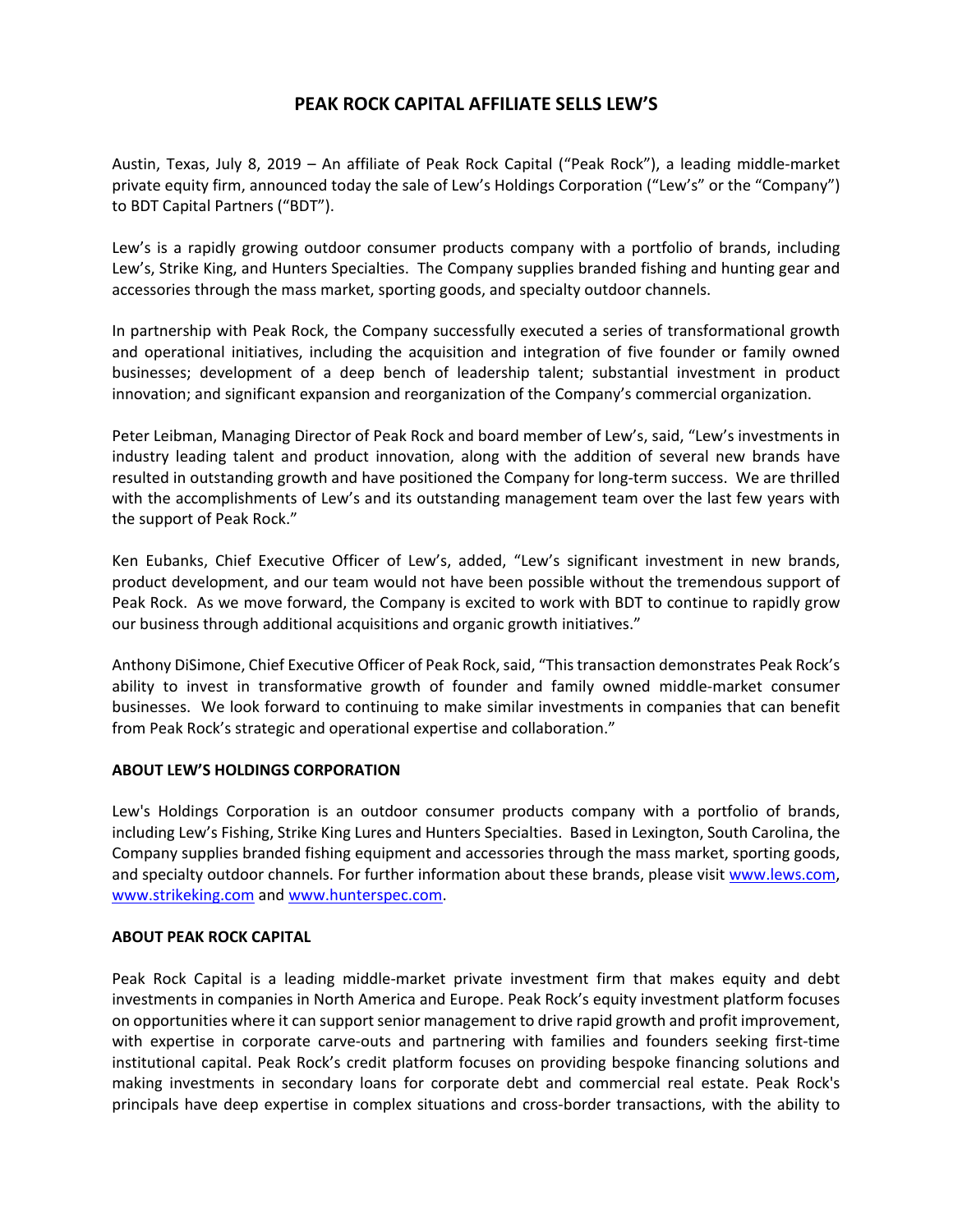## **PEAK ROCK CAPITAL AFFILIATE SELLS LEW'S**

Austin, Texas, July 8, 2019 – An affiliate of Peak Rock Capital ("Peak Rock"), a leading middle‐market private equity firm, announced today the sale of Lew's Holdings Corporation ("Lew's" or the "Company") to BDT Capital Partners ("BDT").

Lew's is a rapidly growing outdoor consumer products company with a portfolio of brands, including Lew's, Strike King, and Hunters Specialties. The Company supplies branded fishing and hunting gear and accessories through the mass market, sporting goods, and specialty outdoor channels.

In partnership with Peak Rock, the Company successfully executed a series of transformational growth and operational initiatives, including the acquisition and integration of five founder or family owned businesses; development of a deep bench of leadership talent; substantial investment in product innovation; and significant expansion and reorganization of the Company's commercial organization.

Peter Leibman, Managing Director of Peak Rock and board member of Lew's, said, "Lew's investments in industry leading talent and product innovation, along with the addition of several new brands have resulted in outstanding growth and have positioned the Company for long-term success. We are thrilled with the accomplishments of Lew's and its outstanding management team over the last few years with the support of Peak Rock."

Ken Eubanks, Chief Executive Officer of Lew's, added, "Lew's significant investment in new brands, product development, and our team would not have been possible without the tremendous support of Peak Rock. As we move forward, the Company is excited to work with BDT to continue to rapidly grow our business through additional acquisitions and organic growth initiatives."

Anthony DiSimone, Chief Executive Officer of Peak Rock, said, "This transaction demonstrates Peak Rock's ability to invest in transformative growth of founder and family owned middle‐market consumer businesses. We look forward to continuing to make similar investments in companies that can benefit from Peak Rock's strategic and operational expertise and collaboration."

## **ABOUT LEW'S HOLDINGS CORPORATION**

Lew's Holdings Corporation is an outdoor consumer products company with a portfolio of brands, including Lew's Fishing, Strike King Lures and Hunters Specialties. Based in Lexington, South Carolina, the Company supplies branded fishing equipment and accessories through the mass market, sporting goods, and specialty outdoor channels. For further information about these brands, please visit www.lews.com, www.strikeking.com and www.hunterspec.com.

## **ABOUT PEAK ROCK CAPITAL**

Peak Rock Capital is a leading middle-market private investment firm that makes equity and debt investments in companies in North America and Europe. Peak Rock's equity investment platform focuses on opportunities where it can support senior management to drive rapid growth and profit improvement, with expertise in corporate carve-outs and partnering with families and founders seeking first-time institutional capital. Peak Rock's credit platform focuses on providing bespoke financing solutions and making investments in secondary loans for corporate debt and commercial real estate. Peak Rock's principals have deep expertise in complex situations and cross‐border transactions, with the ability to